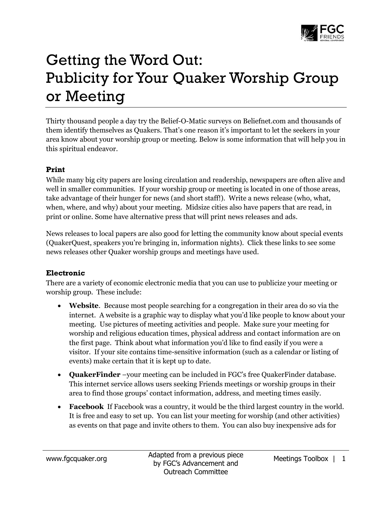

# Getting the Word Out: Publicity for Your Quaker Worship Group or Meeting

Thirty thousand people a day try th[e Belief-O-Matic](http://www.beliefnet.com/Entertainment/Quizzes/BeliefOMatic.aspx) surveys on Beliefnet.com and thousands of them identify themselves as Quakers. That's one reason it's important to let the seekers in your area know about your worship group or meeting. Below is some information that will help you in this spiritual endeavor.

#### **Print**

While many big city papers are losing circulation and readership, newspapers are often alive and well in smaller communities. If your worship group or meeting is located in one of those areas, take advantage of their hunger for news (and short staff!). Write a news release (who, what, when, where, and why) about your meeting. Midsize cities also have papers that are read, in print or online. Some have alternative press that will print news releases and ads.

News releases to local papers are also good for letting the community know about special events (QuakerQuest, speakers you're bringing in, information nights). Click these links to see some news releases other Quaker worship groups and meetings have used.

### **Electronic**

There are a variety of economic electronic media that you can use to publicize your meeting or worship group. These include:

- **Website**. Because most people searching for a congregation in their area do so via the internet. A website is a graphic way to display what you'd like people to know about your meeting. Use pictures of meeting activities and people. Make sure your meeting for worship and religious education times, physical address and contact information are on the first page. Think about what information you'd like to find easily if you were a visitor. If your site contains time-sensitive information (such as a calendar or listing of events) make certain that it is kept up to date.
- **QuakerFinder** –your meeting can be included in FGC's free QuakerFinder database. This internet service allows users seeking Friends meetings or worship groups in their area to find those groups' contact information, address, and meeting times easily.
- **Facebook** If Facebook was a country, it would be the third largest country in the world. It is free and easy to set up. You can list your meeting for worship (and other activities) as events on that page and invite others to them. You can also buy inexpensive ads for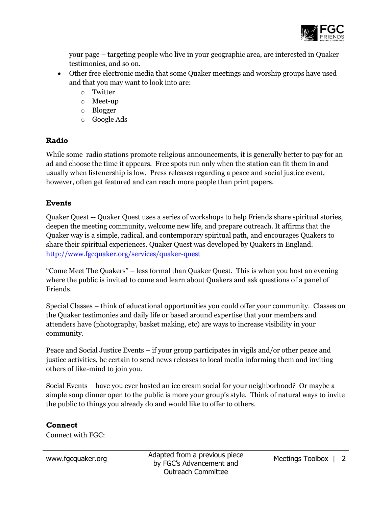

your page – targeting people who live in your geographic area, are interested in Quaker testimonies, and so on.

- Other free electronic media that some Quaker meetings and worship groups have used and that you may want to look into are:
	- o Twitter
	- o Meet-up
	- o Blogger
	- o Google Ads

### **Radio**

While some radio stations promote religious announcements, it is generally better to pay for an ad and choose the time it appears. Free spots run only when the station can fit them in and usually when listenership is low. Press releases regarding a peace and social justice event, however, often get featured and can reach more people than print papers.

## **Events**

Quaker Quest -- Quaker Quest uses a series of workshops to help Friends share spiritual stories, deepen the meeting community, welcome new life, and prepare outreach. It affirms that the Quaker way is a simple, radical, and contemporary spiritual path, and encourages Quakers to share their spiritual experiences. Quaker Quest was developed by Quakers in England. <http://www.fgcquaker.org/services/quaker-quest>

"Come Meet The Quakers" – less formal than Quaker Quest. This is when you host an evening where the public is invited to come and learn about Quakers and ask questions of a panel of Friends.

Special Classes – think of educational opportunities you could offer your community. Classes on the Quaker testimonies and daily life or based around expertise that your members and attenders have (photography, basket making, etc) are ways to increase visibility in your community.

Peace and Social Justice Events – if your group participates in vigils and/or other peace and justice activities, be certain to send news releases to local media informing them and inviting others of like-mind to join you.

Social Events – have you ever hosted an ice cream social for your neighborhood? Or maybe a simple soup dinner open to the public is more your group's style. Think of natural ways to invite the public to things you already do and would like to offer to others.

### **Connect**

Connect with FGC: